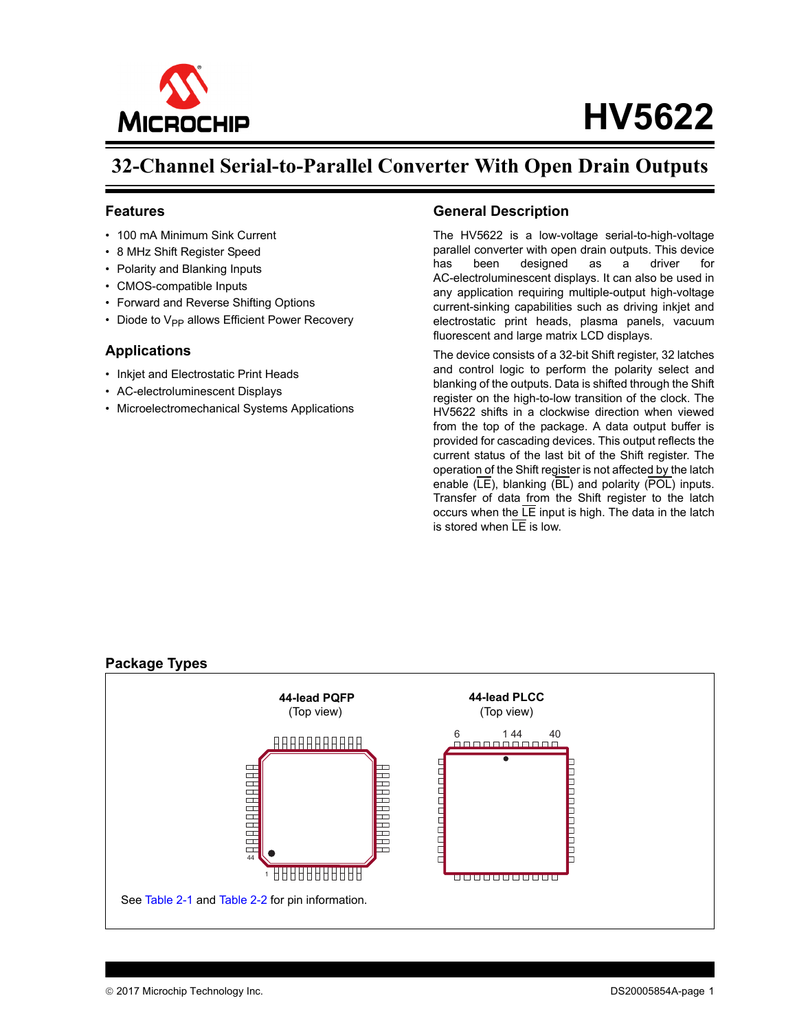

# **HV5622**

## **32-Channel Serial-to-Parallel Converter With Open Drain Outputs**

#### **Features**

- 100 mA Minimum Sink Current
- 8 MHz Shift Register Speed
- Polarity and Blanking Inputs
- CMOS-compatible Inputs
- Forward and Reverse Shifting Options
- Diode to  $V_{PP}$  allows Efficient Power Recovery

#### **Applications**

- Inkiet and Electrostatic Print Heads
- AC-electroluminescent Displays
- Microelectromechanical Systems Applications

### **General Description**

The HV5622 is a low-voltage serial-to-high-voltage parallel converter with open drain outputs. This device has been designed as a driver for AC-electroluminescent displays. It can also be used in any application requiring multiple-output high-voltage current-sinking capabilities such as driving inkjet and electrostatic print heads, plasma panels, vacuum fluorescent and large matrix LCD displays.

The device consists of a 32-bit Shift register, 32 latches and control logic to perform the polarity select and blanking of the outputs. Data is shifted through the Shift register on the high-to-low transition of the clock. The HV5622 shifts in a clockwise direction when viewed from the top of the package. A data output buffer is provided for cascading devices. This output reflects the current status of the last bit of the Shift register. The operation of the Shift register is not affected by the latch enable  $(\overline{LE})$ , blanking  $(\overline{BL})$  and polarity  $(\overline{POL})$  inputs. Transfer of data from the Shift register to the latch occurs when the  $LE$  input is high. The data in the latch is stored when  $\overline{IF}$  is low.

#### <span id="page-0-0"></span>**Package Types**

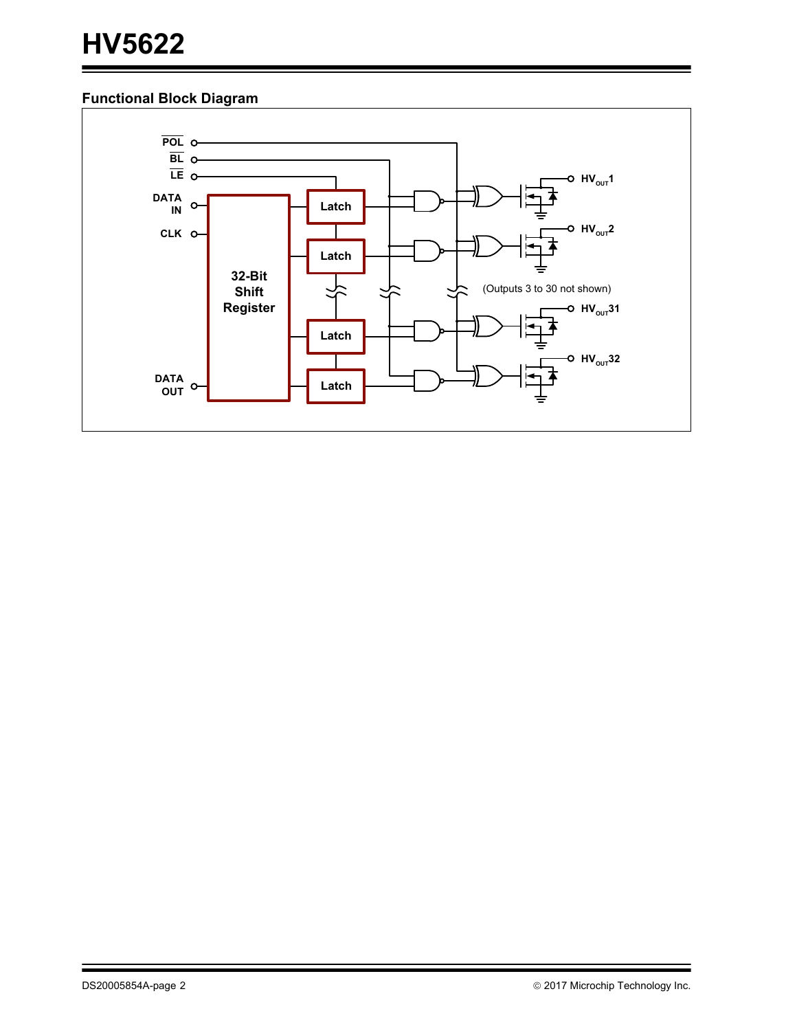## **Functional Block Diagram**

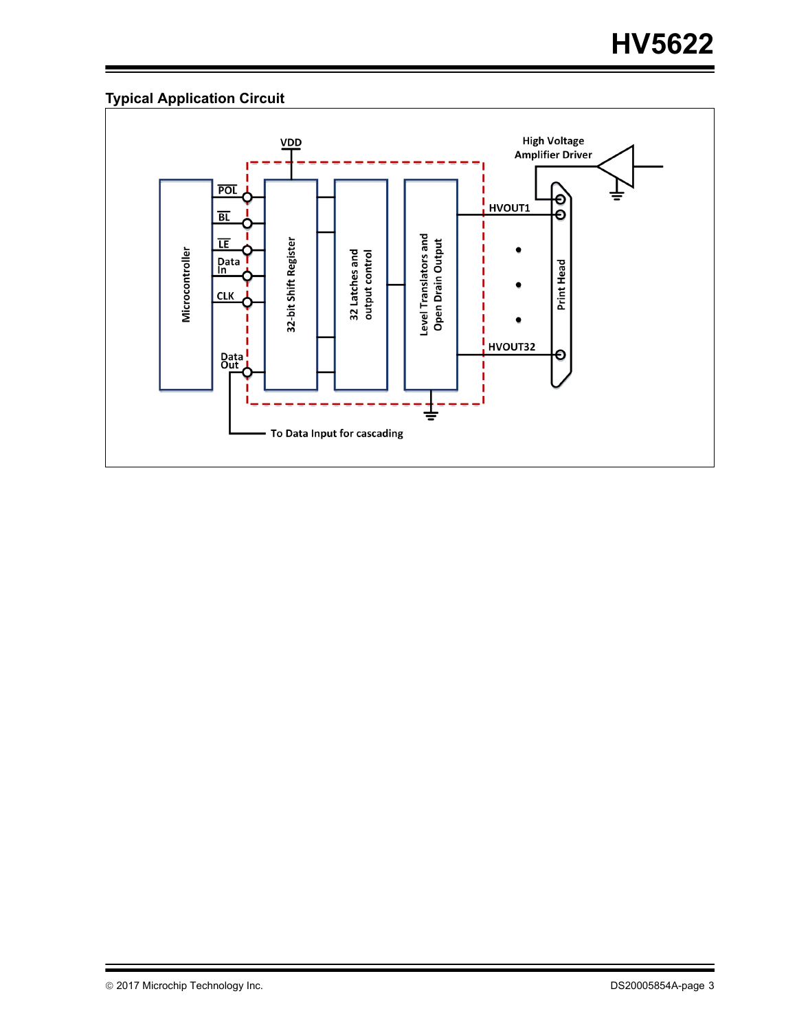## **Typical Application Circuit**

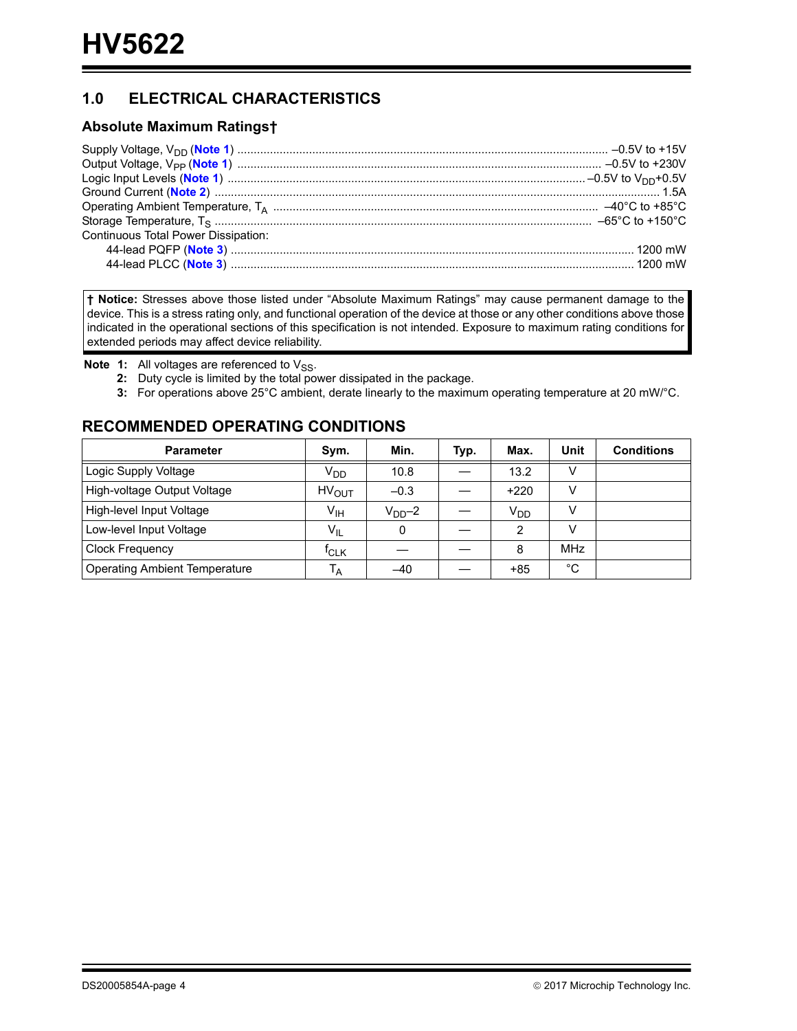## **1.0 ELECTRICAL CHARACTERISTICS**

### **Absolute Maximum Ratings†**

**† Notice:** Stresses above those listed under "Absolute Maximum Ratings" may cause permanent damage to the device. This is a stress rating only, and functional operation of the device at those or any other conditions above those indicated in the operational sections of this specification is not intended. Exposure to maximum rating conditions for extended periods may affect device reliability.

<span id="page-3-2"></span><span id="page-3-1"></span><span id="page-3-0"></span>**Note 1:** All voltages are referenced to V<sub>SS</sub>.

- **2:** Duty cycle is limited by the total power dissipated in the package.
- **3:** For operations above 25°C ambient, derate linearly to the maximum operating temperature at 20 mW/°C.

## **RECOMMENDED OPERATING CONDITIONS**

| <b>Parameter</b>                     | Sym.              | Min.    | Typ. | Max.            | Unit        | <b>Conditions</b> |
|--------------------------------------|-------------------|---------|------|-----------------|-------------|-------------------|
| Logic Supply Voltage                 | V <sub>DD</sub>   | 10.8    |      | 13.2            |             |                   |
| High-voltage Output Voltage          | HV <sub>OUT</sub> | $-0.3$  |      | $+220$          | v           |                   |
| High-level Input Voltage             | V <sub>IH</sub>   | $VDD-2$ |      | V <sub>DD</sub> | v           |                   |
| Low-level Input Voltage              | $V_{IL}$          | 0       |      | 2               | v           |                   |
| <b>Clock Frequency</b>               | $f_{CLK}$         |         |      | 8               | <b>MHz</b>  |                   |
| <b>Operating Ambient Temperature</b> | $T_A$             | -40     |      | $+85$           | $^{\circ}C$ |                   |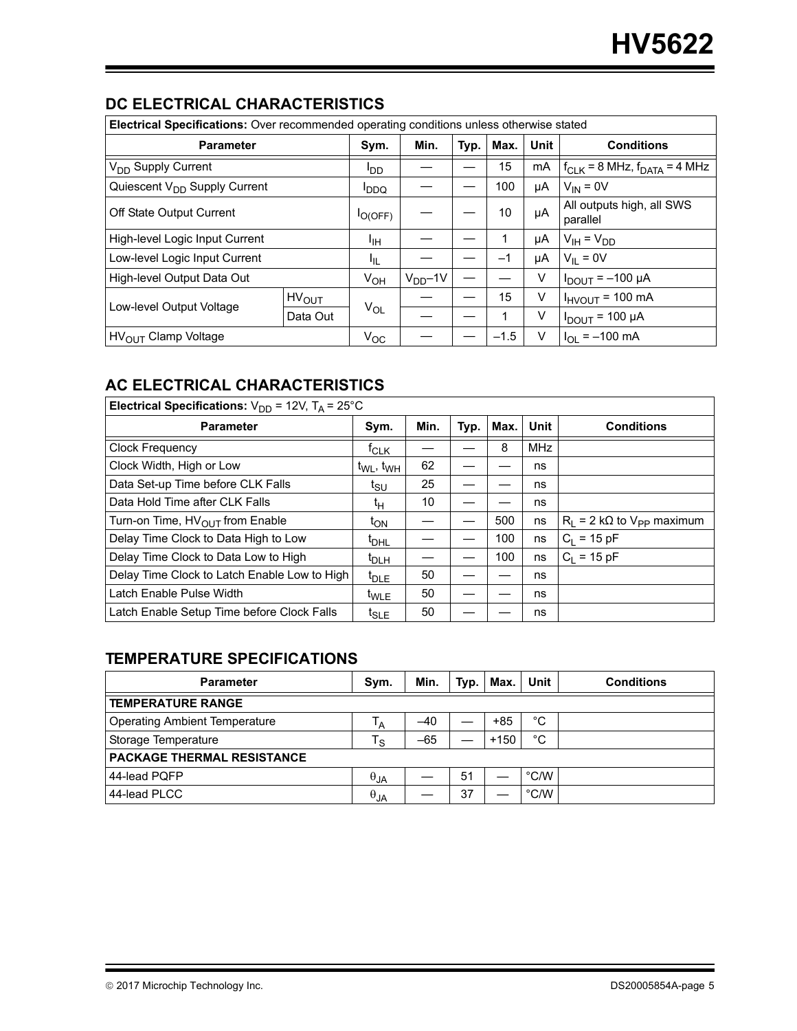## **DC ELECTRICAL CHARACTERISTICS**

| <b>Electrical Specifications:</b> Over recommended operating conditions unless otherwise stated |              |             |               |        |      |                                       |                                       |  |
|-------------------------------------------------------------------------------------------------|--------------|-------------|---------------|--------|------|---------------------------------------|---------------------------------------|--|
| <b>Parameter</b>                                                                                |              | Sym.        | Min.          | Typ.   | Max. | Unit                                  | <b>Conditions</b>                     |  |
| V <sub>DD</sub> Supply Current                                                                  |              | OD!         |               |        | 15   | mA                                    | $f_{CLK}$ = 8 MHz, $f_{DATA}$ = 4 MHz |  |
| Quiescent V <sub>DD</sub> Supply Current                                                        |              | <b>PDDQ</b> |               |        | 100  | μA                                    | $V_{IN} = 0V$                         |  |
| Off State Output Current                                                                        | $I_{O(OFF)}$ |             |               | 10     | μA   | All outputs high, all SWS<br>parallel |                                       |  |
| High-level Logic Input Current                                                                  | ЧΗ           |             |               |        | μA   | $V_{IH} = V_{DD}$                     |                                       |  |
| Low-level Logic Input Current                                                                   |              | ŀ⊫          |               |        | $-1$ | μA                                    | $V_{II} = 0V$                         |  |
| High-level Output Data Out                                                                      |              | $V_{OH}$    | $V_{DD} - 1V$ |        |      | V                                     | $I_{DOUT} = -100 \mu A$               |  |
| Low-level Output Voltage                                                                        | $HV_{OUT}$   |             |               |        | 15   | V                                     | $I_{HVOUT}$ = 100 mA                  |  |
|                                                                                                 | Data Out     | $V_{OL}$    |               |        |      | v                                     | $I_{DOUT}$ = 100 µA                   |  |
| HV <sub>OUT</sub> Clamp Voltage                                                                 | $V_{OC}$     |             |               | $-1.5$ | V    | $I_{OL} = -100$ mA                    |                                       |  |

## **AC ELECTRICAL CHARACTERISTICS**

| Electrical Specifications: $V_{DD}$ = 12V, T <sub>A</sub> = 25°C |                             |      |      |      |            |                                       |  |  |
|------------------------------------------------------------------|-----------------------------|------|------|------|------------|---------------------------------------|--|--|
| <b>Parameter</b>                                                 | Sym.                        | Min. | Typ. | Max. | Unit       | <b>Conditions</b>                     |  |  |
| <b>Clock Frequency</b>                                           | $t_{CLK}$                   |      |      | 8    | <b>MHz</b> |                                       |  |  |
| Clock Width, High or Low                                         | $t_{WL}$ , $t_{WH}$         | 62   |      |      | ns         |                                       |  |  |
| Data Set-up Time before CLK Falls                                | t <sub>SU</sub>             | 25   |      |      | ns         |                                       |  |  |
| Data Hold Time after CLK Falls                                   | tμ                          | 10   |      |      | ns         |                                       |  |  |
| Turn-on Time, HV <sub>OUT</sub> from Enable                      | t <sub>ON</sub>             |      |      | 500  | ns         | $R_1 = 2 k\Omega$ to $V_{PP}$ maximum |  |  |
| Delay Time Clock to Data High to Low                             | <sup>I</sup> DHL            |      |      | 100  | ns         | $C_1 = 15 pF$                         |  |  |
| Delay Time Clock to Data Low to High                             | $t_{\text{DLH}}$            |      |      | 100  | ns         | $C_1 = 15 pF$                         |  |  |
| Delay Time Clock to Latch Enable Low to High                     | $t_{\text{DLE}}$            | 50   |      |      | ns         |                                       |  |  |
| Latch Enable Pulse Width                                         | $t_{WLE}$                   | 50   |      |      | ns         |                                       |  |  |
| Latch Enable Setup Time before Clock Falls                       | $\mathfrak{r}_{\text{SLE}}$ | 50   |      |      | ns         |                                       |  |  |

## **TEMPERATURE SPECIFICATIONS**

| <b>Parameter</b>                     | Sym.           | Min.  | Typ. | Max.   | Unit           | <b>Conditions</b> |
|--------------------------------------|----------------|-------|------|--------|----------------|-------------------|
| <b>TEMPERATURE RANGE</b>             |                |       |      |        |                |                   |
| <b>Operating Ambient Temperature</b> | Т <sub>А</sub> | $-40$ |      | $+85$  | °C             |                   |
| Storage Temperature                  | $T_{\rm S}$    | $-65$ |      | $+150$ | °C             |                   |
| <b>PACKAGE THERMAL RESISTANCE</b>    |                |       |      |        |                |                   |
| 44-lead PQFP                         | $\theta_{JA}$  |       | 51   |        | $^{\circ}$ C/W |                   |
| 44-lead PLCC                         | $\theta_{JA}$  |       | 37   |        | $\degree$ C/W  |                   |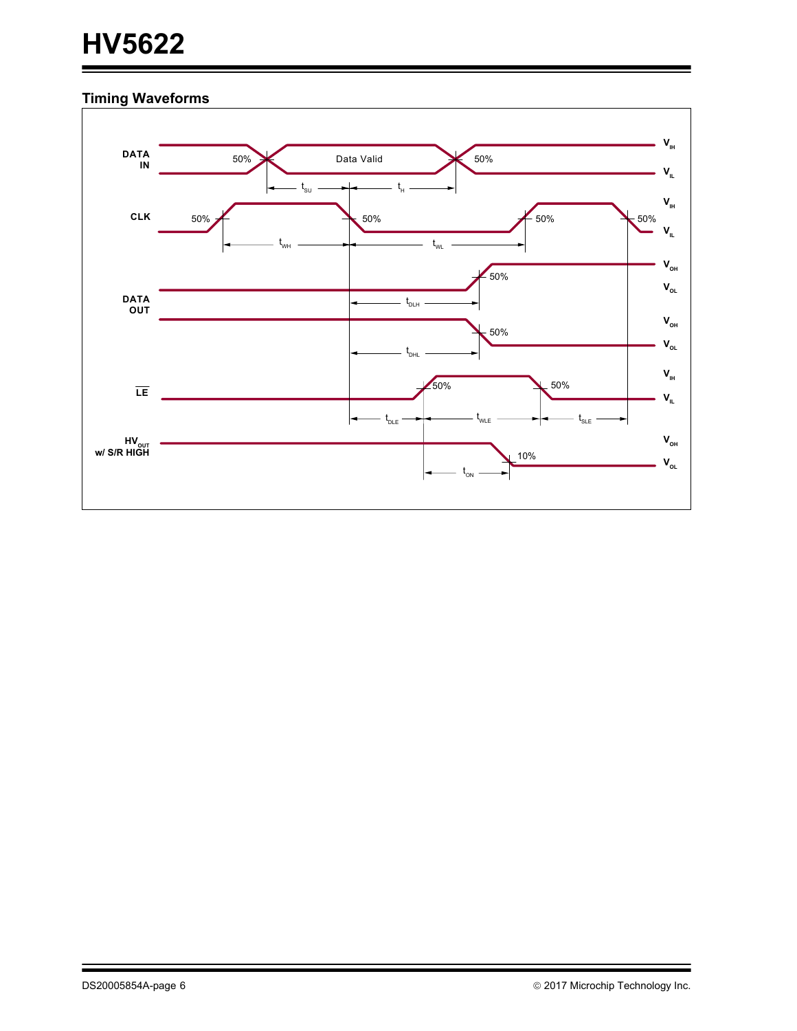# **HV5622**

## **Timing Waveforms**

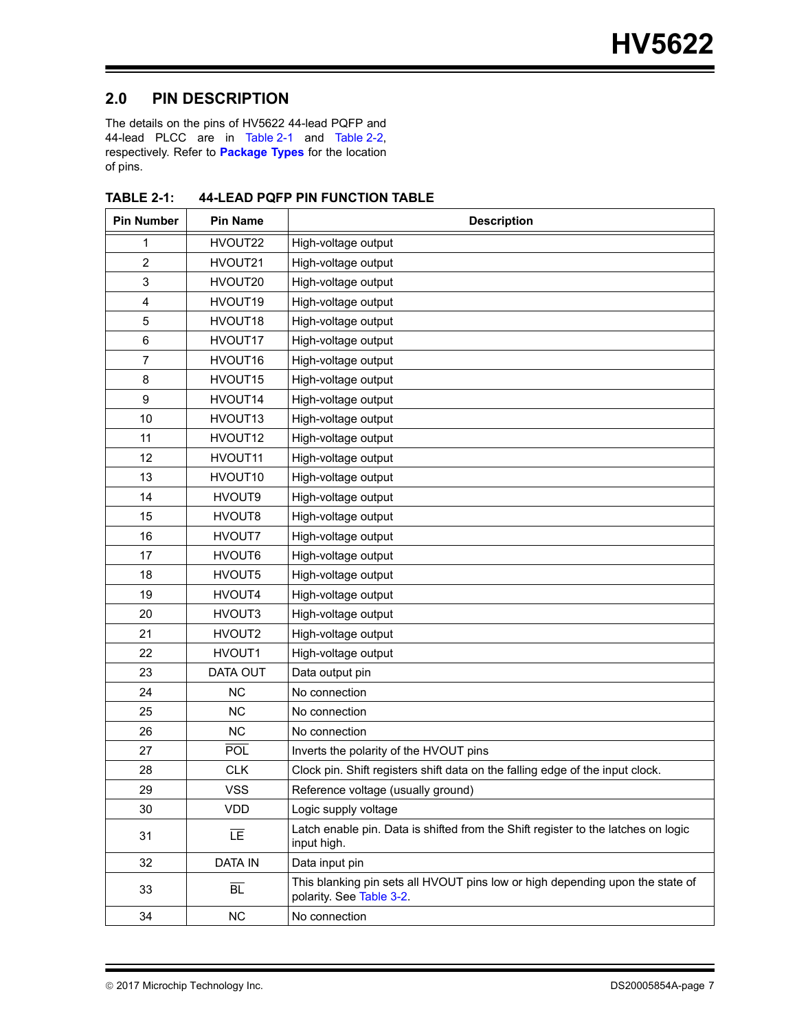## **2.0 PIN DESCRIPTION**

The details on the pins of HV5622 44-lead PQFP and 44-lead PLCC are in [Table](#page-7-0) 2-1 and Table 2-2, respectively. Refer to **[Package Types](#page-0-0)** for the location of pins.

| <b>Pin Number</b> | <b>Pin Name</b> | <b>Description</b>                                                                                        |
|-------------------|-----------------|-----------------------------------------------------------------------------------------------------------|
| 1                 | HVOUT22         | High-voltage output                                                                                       |
| $\overline{2}$    | HVOUT21         | High-voltage output                                                                                       |
| 3                 | HVOUT20         | High-voltage output                                                                                       |
| 4                 | HVOUT19         | High-voltage output                                                                                       |
| 5                 | HVOUT18         | High-voltage output                                                                                       |
| 6                 | HVOUT17         | High-voltage output                                                                                       |
| 7                 | HVOUT16         | High-voltage output                                                                                       |
| 8                 | HVOUT15         | High-voltage output                                                                                       |
| 9                 | HVOUT14         | High-voltage output                                                                                       |
| 10                | HVOUT13         | High-voltage output                                                                                       |
| 11                | HVOUT12         | High-voltage output                                                                                       |
| 12                | HVOUT11         | High-voltage output                                                                                       |
| 13                | HVOUT10         | High-voltage output                                                                                       |
| 14                | HVOUT9          | High-voltage output                                                                                       |
| 15                | HVOUT8          | High-voltage output                                                                                       |
| 16                | HVOUT7          | High-voltage output                                                                                       |
| 17                | HVOUT6          | High-voltage output                                                                                       |
| 18                | HVOUT5          | High-voltage output                                                                                       |
| 19                | HVOUT4          | High-voltage output                                                                                       |
| 20                | HVOUT3          | High-voltage output                                                                                       |
| 21                | HVOUT2          | High-voltage output                                                                                       |
| 22                | HVOUT1          | High-voltage output                                                                                       |
| 23                | DATA OUT        | Data output pin                                                                                           |
| 24                | <b>NC</b>       | No connection                                                                                             |
| 25                | <b>NC</b>       | No connection                                                                                             |
| 26                | <b>NC</b>       | No connection                                                                                             |
| 27                | <b>POL</b>      | Inverts the polarity of the HVOUT pins                                                                    |
| 28                | <b>CLK</b>      | Clock pin. Shift registers shift data on the falling edge of the input clock.                             |
| 29                | <b>VSS</b>      | Reference voltage (usually ground)                                                                        |
| 30                | VDD             | Logic supply voltage                                                                                      |
| 31                | īΕ              | Latch enable pin. Data is shifted from the Shift register to the latches on logic<br>input high.          |
| 32                | <b>DATA IN</b>  | Data input pin                                                                                            |
| 33                | $\overline{BL}$ | This blanking pin sets all HVOUT pins low or high depending upon the state of<br>polarity. See Table 3-2. |
| 34                | <b>NC</b>       | No connection                                                                                             |

<span id="page-6-0"></span>**TABLE 2-1: 44-LEAD PQFP PIN FUNCTION TABLE**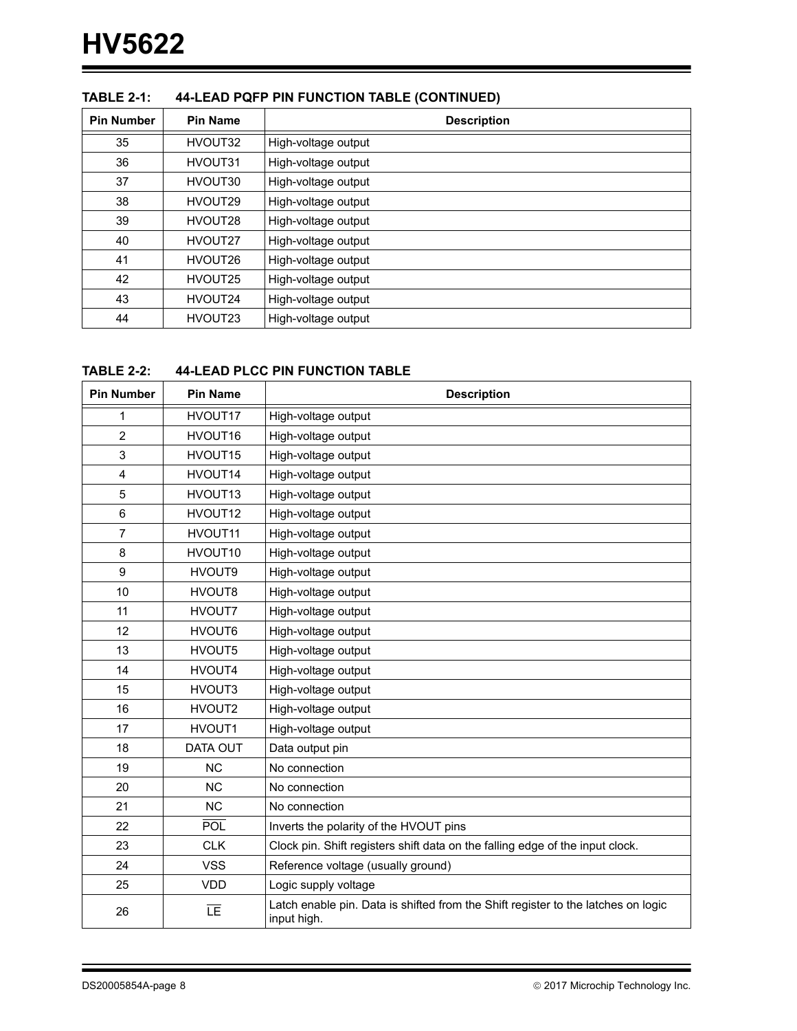| <b>Pin Number</b> | <b>Pin Name</b> | <b>Description</b>  |
|-------------------|-----------------|---------------------|
| 35                | HVOUT32         | High-voltage output |
| 36                | HVOUT31         | High-voltage output |
| 37                | HVOUT30         | High-voltage output |
| 38                | HVOUT29         | High-voltage output |
| 39                | HVOUT28         | High-voltage output |
| 40                | HVOUT27         | High-voltage output |
| 41                | HVOUT26         | High-voltage output |
| 42                | HVOUT25         | High-voltage output |
| 43                | HVOUT24         | High-voltage output |
| 44                | HVOUT23         | High-voltage output |

### **TABLE 2-1: 44-LEAD PQFP PIN FUNCTION TABLE (CONTINUED)**

#### <span id="page-7-0"></span>**TABLE 2-2: 44-LEAD PLCC PIN FUNCTION TABLE**

| <b>Pin Number</b> | <b>Pin Name</b> | <b>Description</b>                                                                               |
|-------------------|-----------------|--------------------------------------------------------------------------------------------------|
| 1                 | HVOUT17         | High-voltage output                                                                              |
| $\overline{2}$    | HVOUT16         | High-voltage output                                                                              |
| 3                 | HVOUT15         | High-voltage output                                                                              |
| 4                 | HVOUT14         | High-voltage output                                                                              |
| 5                 | HVOUT13         | High-voltage output                                                                              |
| $\,6\,$           | HVOUT12         | High-voltage output                                                                              |
| $\overline{7}$    | HVOUT11         | High-voltage output                                                                              |
| 8                 | HVOUT10         | High-voltage output                                                                              |
| $\boldsymbol{9}$  | HVOUT9          | High-voltage output                                                                              |
| 10                | HVOUT8          | High-voltage output                                                                              |
| 11                | HVOUT7          | High-voltage output                                                                              |
| 12                | HVOUT6          | High-voltage output                                                                              |
| 13                | HVOUT5          | High-voltage output                                                                              |
| 14                | HVOUT4          | High-voltage output                                                                              |
| 15                | HVOUT3          | High-voltage output                                                                              |
| 16                | HVOUT2          | High-voltage output                                                                              |
| 17                | HVOUT1          | High-voltage output                                                                              |
| 18                | <b>DATA OUT</b> | Data output pin                                                                                  |
| 19                | <b>NC</b>       | No connection                                                                                    |
| 20                | <b>NC</b>       | No connection                                                                                    |
| 21                | <b>NC</b>       | No connection                                                                                    |
| 22                | <b>POL</b>      | Inverts the polarity of the HVOUT pins                                                           |
| 23                | <b>CLK</b>      | Clock pin. Shift registers shift data on the falling edge of the input clock.                    |
| 24                | <b>VSS</b>      | Reference voltage (usually ground)                                                               |
| 25                | <b>VDD</b>      | Logic supply voltage                                                                             |
| 26                | īΕ              | Latch enable pin. Data is shifted from the Shift register to the latches on logic<br>input high. |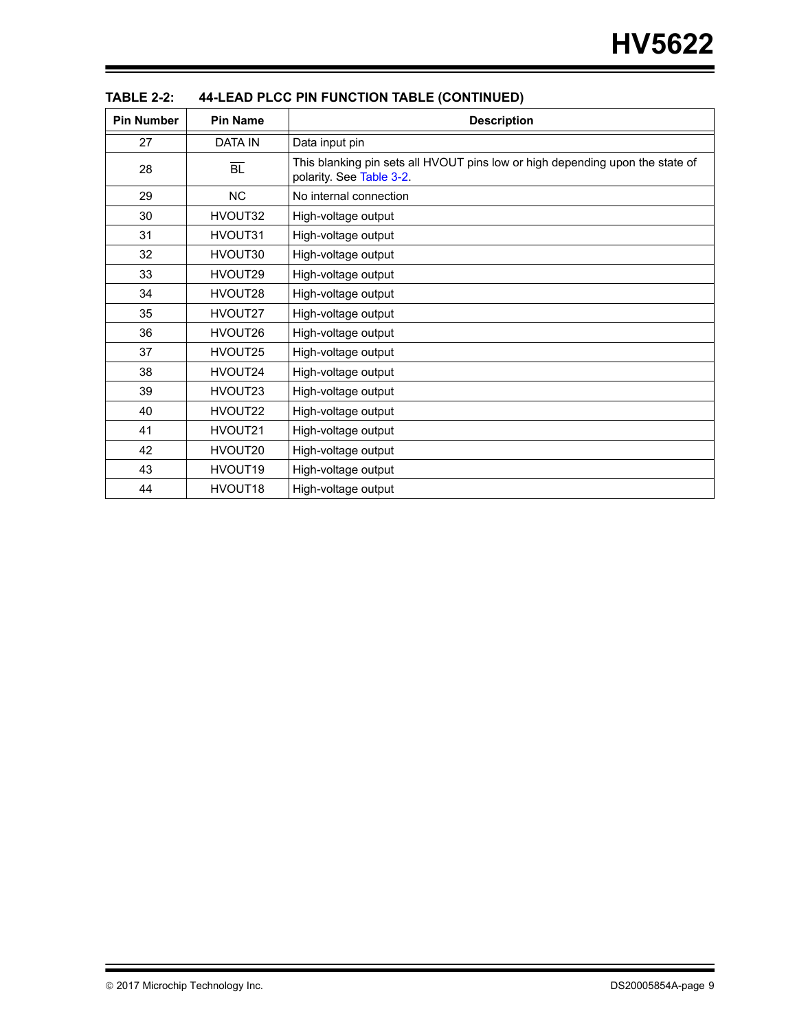| <b>Pin Number</b> | <b>Pin Name</b>     | <b>Description</b>                                                                                        |
|-------------------|---------------------|-----------------------------------------------------------------------------------------------------------|
| 27                | <b>DATA IN</b>      | Data input pin                                                                                            |
| 28                | $\overline{BL}$     | This blanking pin sets all HVOUT pins low or high depending upon the state of<br>polarity. See Table 3-2. |
| 29                | <b>NC</b>           | No internal connection                                                                                    |
| 30                | HVOUT32             | High-voltage output                                                                                       |
| 31                | HVOUT31             | High-voltage output                                                                                       |
| 32                | HVOUT30             | High-voltage output                                                                                       |
| 33                | HVOUT29             | High-voltage output                                                                                       |
| 34                | HVOUT28             | High-voltage output                                                                                       |
| 35                | HVOUT27             | High-voltage output                                                                                       |
| 36                | HVOUT26             | High-voltage output                                                                                       |
| 37                | HVOUT25             | High-voltage output                                                                                       |
| 38                | HVOUT24             | High-voltage output                                                                                       |
| 39                | HVOUT23             | High-voltage output                                                                                       |
| 40                | HVOUT22             | High-voltage output                                                                                       |
| 41                | HVOUT21             | High-voltage output                                                                                       |
| 42                | HVOUT20             | High-voltage output                                                                                       |
| 43                | HVOUT19             | High-voltage output                                                                                       |
| 44                | HVOUT <sub>18</sub> | High-voltage output                                                                                       |

**TABLE 2-2: 44-LEAD PLCC PIN FUNCTION TABLE (CONTINUED)**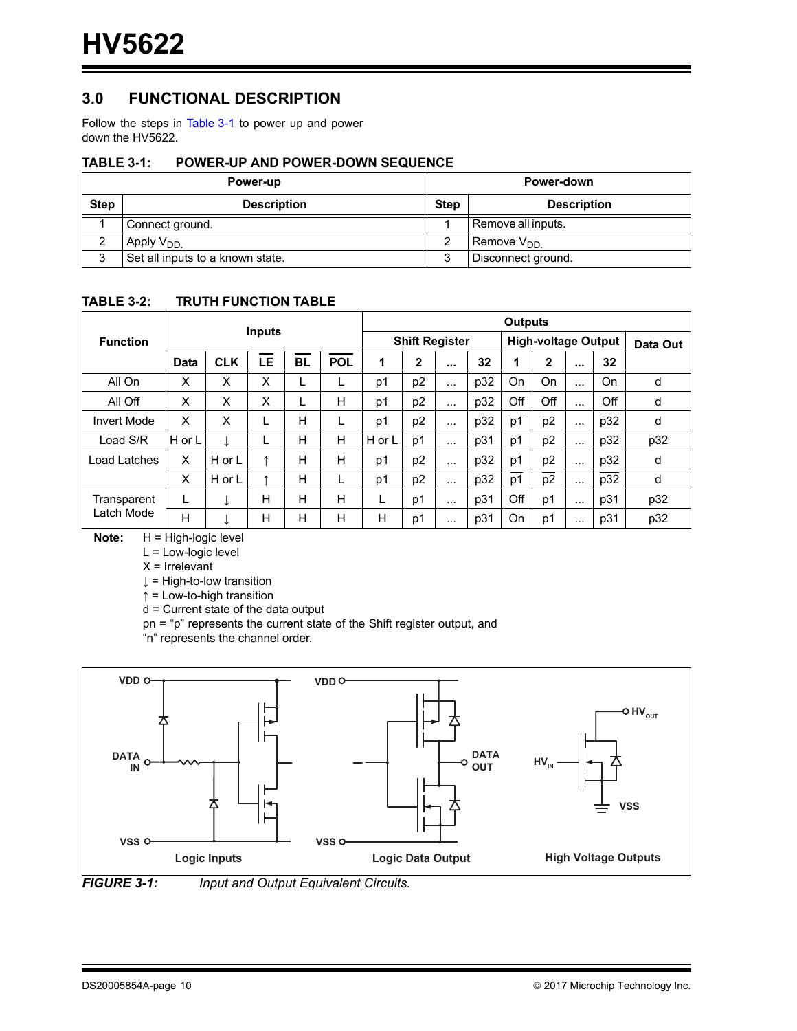## **3.0 FUNCTIONAL DESCRIPTION**

Follow the steps in [Table](#page-9-1) 3-1 to power up and power down the HV5622.

#### <span id="page-9-1"></span>**TABLE 3-1: POWER-UP AND POWER-DOWN SEQUENCE**

|             | Power-up                         | Power-down  |                        |  |  |
|-------------|----------------------------------|-------------|------------------------|--|--|
| <b>Step</b> | <b>Description</b>               | <b>Step</b> | <b>Description</b>     |  |  |
|             | Connect ground.                  |             | Remove all inputs.     |  |  |
| ∼           | Apply V <sub>DD.</sub>           |             | Remove V <sub>DD</sub> |  |  |
| ◠<br>د      | Set all inputs to a known state. | ◠<br>J      | Disconnect ground.     |  |  |

#### <span id="page-9-0"></span>**TABLE 3-2: TRUTH FUNCTION TABLE**

|                    |        | <b>Outputs</b> |                       |           |     |        |                            |                      |     |                |                |          |     |     |
|--------------------|--------|----------------|-----------------------|-----------|-----|--------|----------------------------|----------------------|-----|----------------|----------------|----------|-----|-----|
| <b>Function</b>    |        |                | <b>Shift Register</b> |           |     |        | <b>High-voltage Output</b> |                      |     | Data Out       |                |          |     |     |
|                    | Data   | <b>CLK</b>     | <b>LE</b>             | <b>BL</b> | POL | 1      | 2                          | $\cdots$             | 32  |                | 2              | $\cdots$ | 32  |     |
| All On             | X      | x              | X                     |           |     | p1     | p <sub>2</sub>             | $\sim$ $\sim$ $\sim$ | p32 | On             | On             | $\cdots$ | On  | d   |
| All Off            | X      | X              | X                     |           | H   | p1     | p <sub>2</sub>             | $\cdots$             | p32 | Off            | Off            | $\cdots$ | Off | d   |
| <b>Invert Mode</b> | X      | X              | ட                     | н         |     | p1     | p <sub>2</sub>             | $\cdots$             | p32 | p1             | p <sub>2</sub> | $\cdots$ | p32 | d   |
| Load S/R           | H or L |                | ┗                     | н         | H   | H or L | p1                         | $\cdots$             | p31 | p1             | p <sub>2</sub> | $\cdots$ | p32 | p32 |
| Load Latches       | X      | H or L         | ᠰ                     | н         | н   | p1     | p <sub>2</sub>             | $\cdots$             | p32 | p1             | p <sub>2</sub> | $\cdots$ | p32 | d   |
|                    | X      | H or L         | ᠰ                     | н         |     | p1     | p <sub>2</sub>             | $\cdots$             | p32 | p <sub>1</sub> | p <sub>2</sub> | $\cdots$ | p32 | d   |
| Transparent        | ┗      |                | Н                     | н         | н   |        | p1                         | $\sim$ $\sim$ $\sim$ | p31 | Off            | p1             | $\cdots$ | p31 | p32 |
| Latch Mode         | H      |                | H                     | н         | H   | н      | p1                         | $\cdots$             | p31 | On             | p1             | $\cdots$ | p31 | p32 |

**Note:** H = High-logic level

L = Low-logic level

 $X = I$ rrelevant

↓ = High-to-low transition

↑ = Low-to-high transition

d = Current state of the data output

pn = "p" represents the current state of the Shift register output, and

"n" represents the channel order.



*FIGURE 3-1: Input and Output Equivalent Circuits.*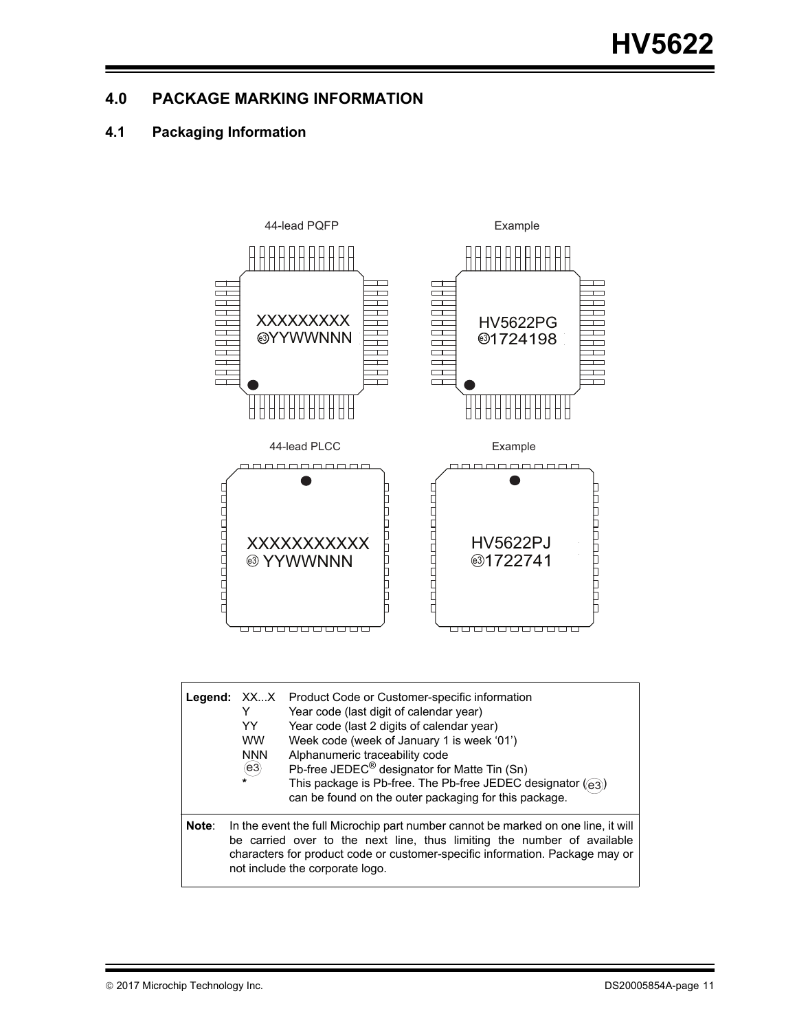## **4.0 PACKAGE MARKING INFORMATION**

## **4.1 Packaging Information**



|       | Legend: XXX<br>Y<br>YY<br><b>WW</b><br><b>NNN</b><br>(e3)<br>$\star$ | Product Code or Customer-specific information<br>Year code (last digit of calendar year)<br>Year code (last 2 digits of calendar year)<br>Week code (week of January 1 is week '01')<br>Alphanumeric traceability code<br>Pb-free JEDEC <sup>®</sup> designator for Matte Tin (Sn)<br>This package is Pb-free. The Pb-free JEDEC designator ((e3))<br>can be found on the outer packaging for this package. |
|-------|----------------------------------------------------------------------|-------------------------------------------------------------------------------------------------------------------------------------------------------------------------------------------------------------------------------------------------------------------------------------------------------------------------------------------------------------------------------------------------------------|
| Note: |                                                                      | In the event the full Microchip part number cannot be marked on one line, it will<br>be carried over to the next line, thus limiting the number of available<br>characters for product code or customer-specific information. Package may or<br>not include the corporate logo.                                                                                                                             |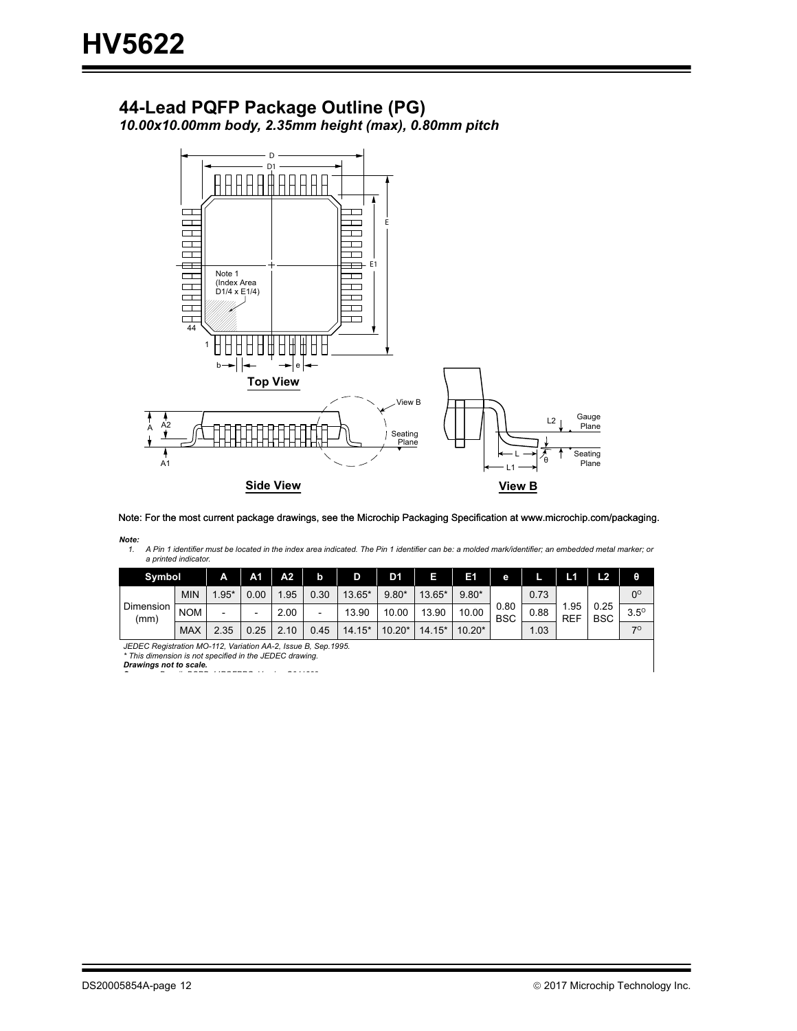## **44-Lead PQFP Package Outline (PG)**

*10.00x10.00mm body, 2.35mm height (max), 0.80mm pitch*



Note: For the most current package drawings, see the Microchip Packaging Specification at www.microchip.com/packaging.

*Note:*

A Pin 1 identifier must be located in the index area indicated. The Pin 1 identifier can be: a molded mark/identifier; an embedded metal marker; or *a printed indicator.*

| Symbol                                                                                                                   |            | А                        | A <sub>1</sub> | A2   | b    | D        | D <sub>1</sub> | п        | E1       | е                                  |                   | L1                 | L2          | θ           |
|--------------------------------------------------------------------------------------------------------------------------|------------|--------------------------|----------------|------|------|----------|----------------|----------|----------|------------------------------------|-------------------|--------------------|-------------|-------------|
|                                                                                                                          | <b>MIN</b> | $.95*$                   | 0.00           | .95  | 0.30 | 13.65*   | $9.80*$        | 13.65*   | $9.80*$  |                                    | 0.73              |                    |             | $0^{\circ}$ |
| <b>Dimension</b><br>(mm)                                                                                                 | <b>NOM</b> | $\overline{\phantom{0}}$ | -              | 2.00 | ۰    | 13.90    | 10.00          | 13.90    | 10.00    | 0.80<br>0.88<br><b>BSC</b><br>1.03 | .95<br><b>REF</b> | 0.25<br><b>BSC</b> | $3.5^\circ$ |             |
|                                                                                                                          | <b>MAX</b> | 2.35                     | 0.25           | 2.10 | 0.45 | $14.15*$ | $10.20*$       | $14.15*$ | $10.20*$ |                                    |                   |                    | 70          |             |
| JEDEC Registration MO-112, Variation AA-2, Issue B, Sep.1995.<br>* This dimension is not specified in the JEDEC drawing. |            |                          |                |      |      |          |                |          |          |                                    |                   |                    |             |             |

*Drawings not to scale.*

*S D # DSPD 44PQFPPG V i C041309*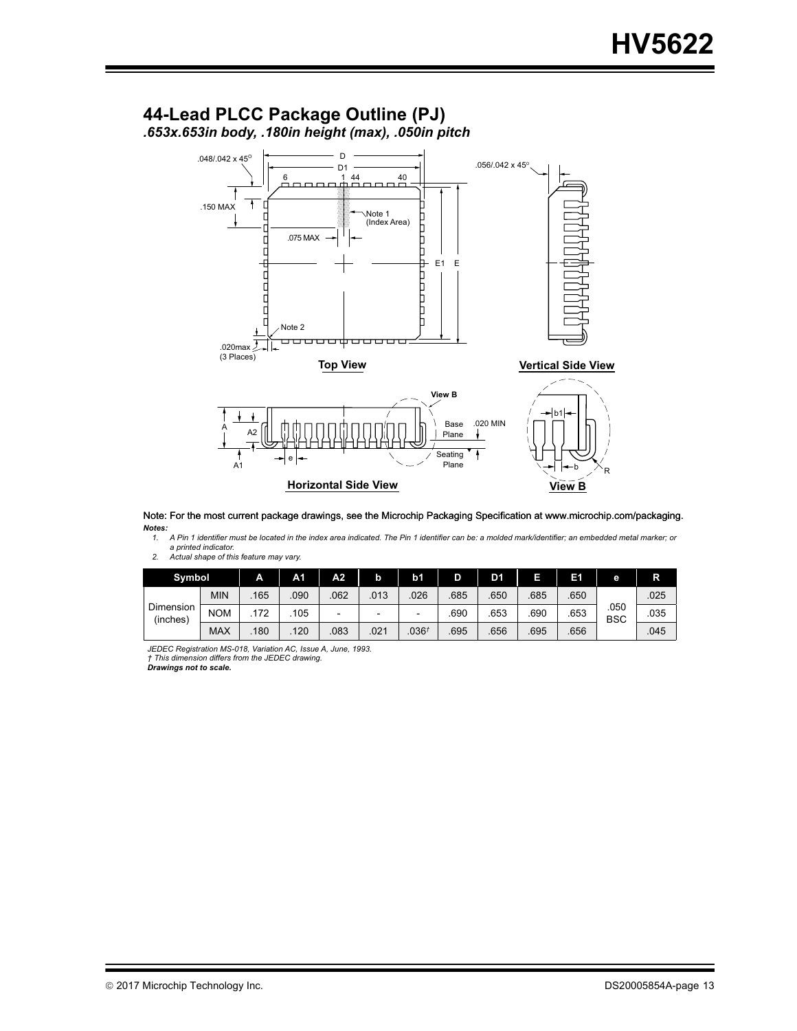## **44-Lead PLCC Package Outline (PJ)** *.653x.653in body, .180in height (max), .050in pitch*



*Notes:* Note: For the most current package drawings, see the Microchip Packaging Specification at www.microchip.com/packaging.

**<sup>2022</sup> A** Pin 1 identifier must be located in the index area indicated. The Pin 1 identifier can be: a molded mark/identifier; an embedded metal marker; or *a printed indicator.*

| Actual shape of this feature may vary. | 2. |  |
|----------------------------------------|----|--|
|----------------------------------------|----|--|

| Symbol                |            | A    | A1   | A2.                      |      | b1                       | D    | D1   |      | в    | е                  | R    |
|-----------------------|------------|------|------|--------------------------|------|--------------------------|------|------|------|------|--------------------|------|
| Dimension<br>(inches) | <b>MIN</b> | .165 | .090 | 062                      | .013 | 026                      | .685 | .650 | .685 | .650 | .050<br><b>BSC</b> | .025 |
|                       | <b>NOM</b> | .172 | 105  | $\overline{\phantom{0}}$ | -    | $\overline{\phantom{0}}$ | .690 | 653  | .690 | .653 |                    | .035 |
|                       | <b>MAX</b> | 180  | 120  | 083                      | .021 | .036 <sup>†</sup>        | .695 | .656 | .695 | .656 |                    | .045 |

*JEDEC Registration MS-018, Variation AC, Issue A, June, 1993. † This dimension differs from the JEDEC drawing. Drawings not to scale.*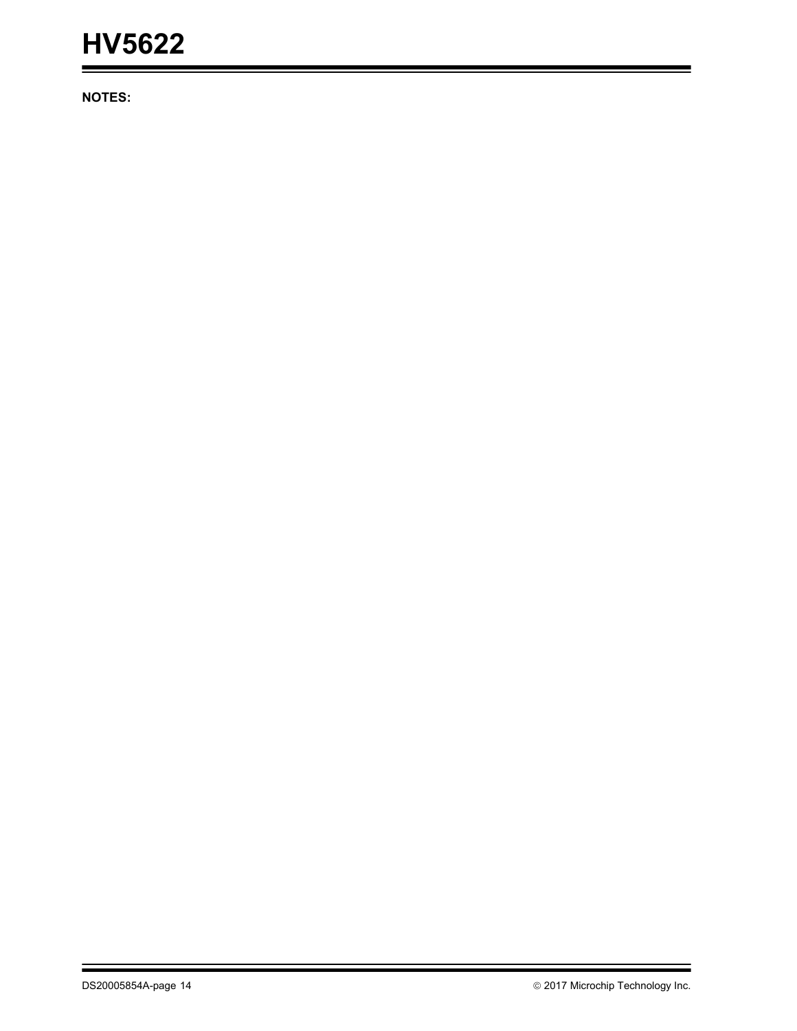# **HV5622**

**NOTES:**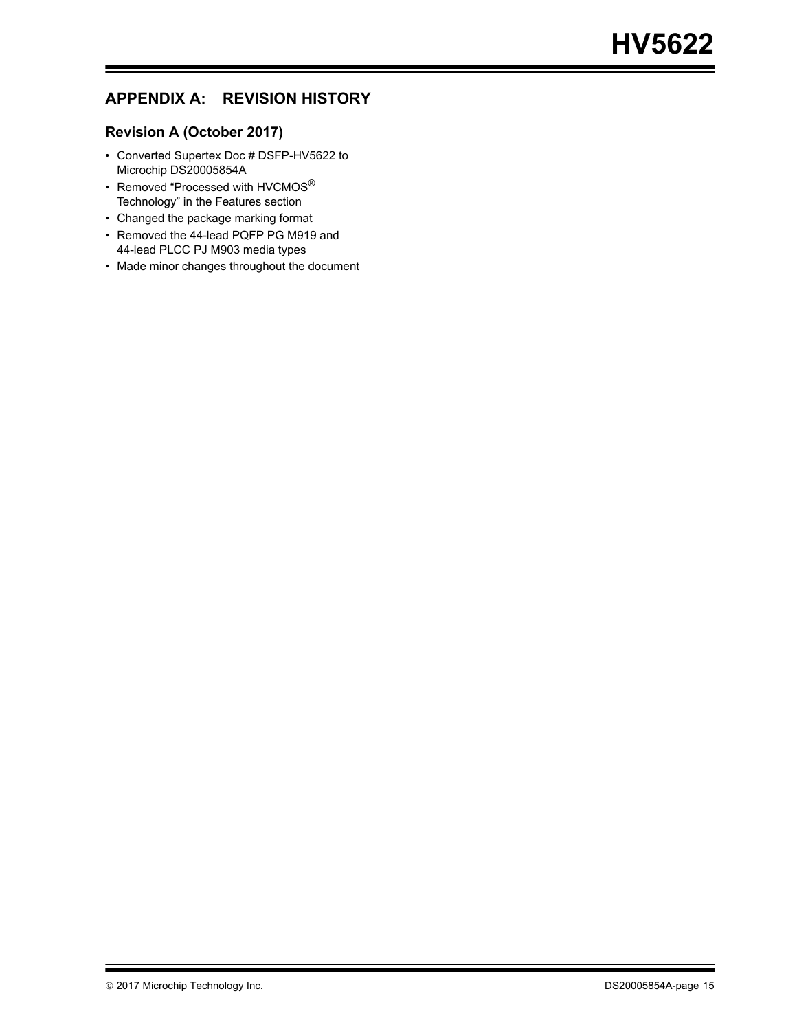## **APPENDIX A: REVISION HISTORY**

## **Revision A (October 2017)**

- Converted Supertex Doc # DSFP-HV5622 to Microchip DS20005854A
- Removed "Processed with HVCMOS® Technology" in the Features section
- Changed the package marking format
- Removed the 44-lead PQFP PG M919 and 44-lead PLCC PJ M903 media types
- Made minor changes throughout the document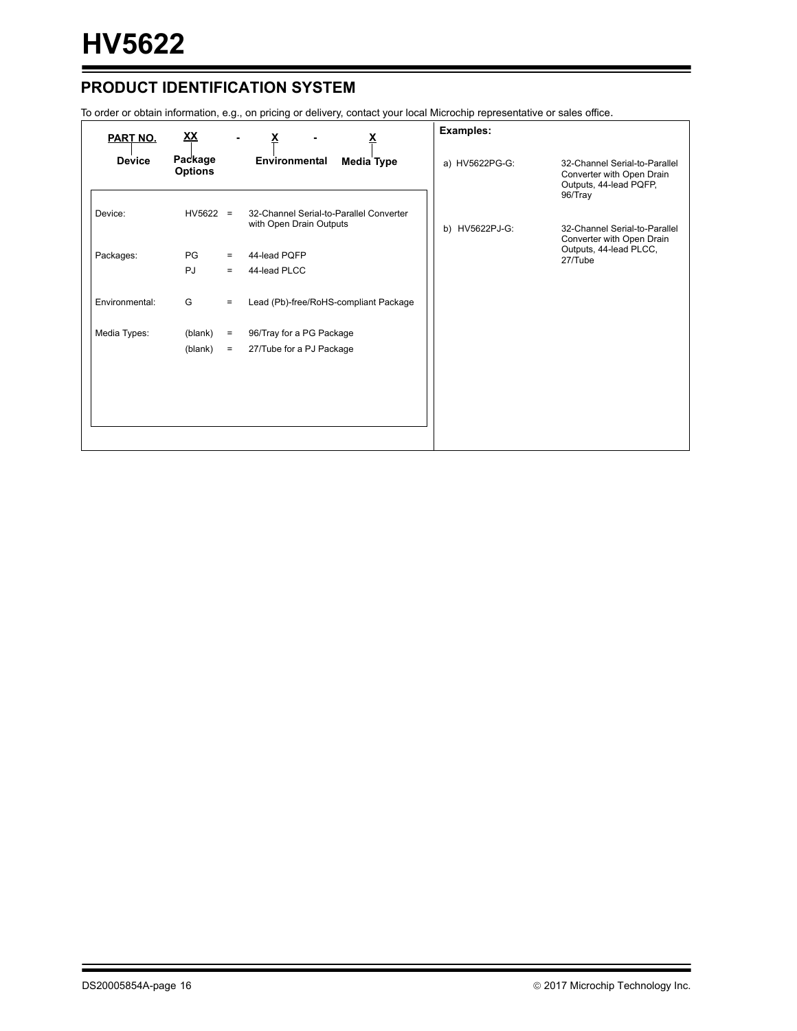## **PRODUCT IDENTIFICATION SYSTEM**

To order or obtain information, e.g., on pricing or delivery, contact your local Microchip representative or sales office.

| <b>PART NO.</b> | <u>XX</u>                 |     |                                                                    | <b>Examples:</b> |                                                                                                 |
|-----------------|---------------------------|-----|--------------------------------------------------------------------|------------------|-------------------------------------------------------------------------------------------------|
| <b>Device</b>   | Package<br><b>Options</b> |     | Environmental<br>Media Type                                        | a) HV5622PG-G:   | 32-Channel Serial-to-Parallel<br>Converter with Open Drain<br>Outputs, 44-lead PQFP,<br>96/Tray |
| Device:         | $HV5622 =$                |     | 32-Channel Serial-to-Parallel Converter<br>with Open Drain Outputs | b) HV5622PJ-G:   | 32-Channel Serial-to-Parallel<br>Converter with Open Drain                                      |
| Packages:       | PG                        | $=$ | 44-lead PQFP                                                       |                  | Outputs, 44-lead PLCC,<br>27/Tube                                                               |
|                 | <b>PJ</b>                 | $=$ | 44-lead PLCC                                                       |                  |                                                                                                 |
| Environmental:  | G                         | $=$ | Lead (Pb)-free/RoHS-compliant Package                              |                  |                                                                                                 |
| Media Types:    | (blank)                   | $=$ | 96/Tray for a PG Package                                           |                  |                                                                                                 |
|                 | (blank)                   | $=$ | 27/Tube for a PJ Package                                           |                  |                                                                                                 |
|                 |                           |     |                                                                    |                  |                                                                                                 |
|                 |                           |     |                                                                    |                  |                                                                                                 |
|                 |                           |     |                                                                    |                  |                                                                                                 |
|                 |                           |     |                                                                    |                  |                                                                                                 |
|                 |                           |     |                                                                    |                  |                                                                                                 |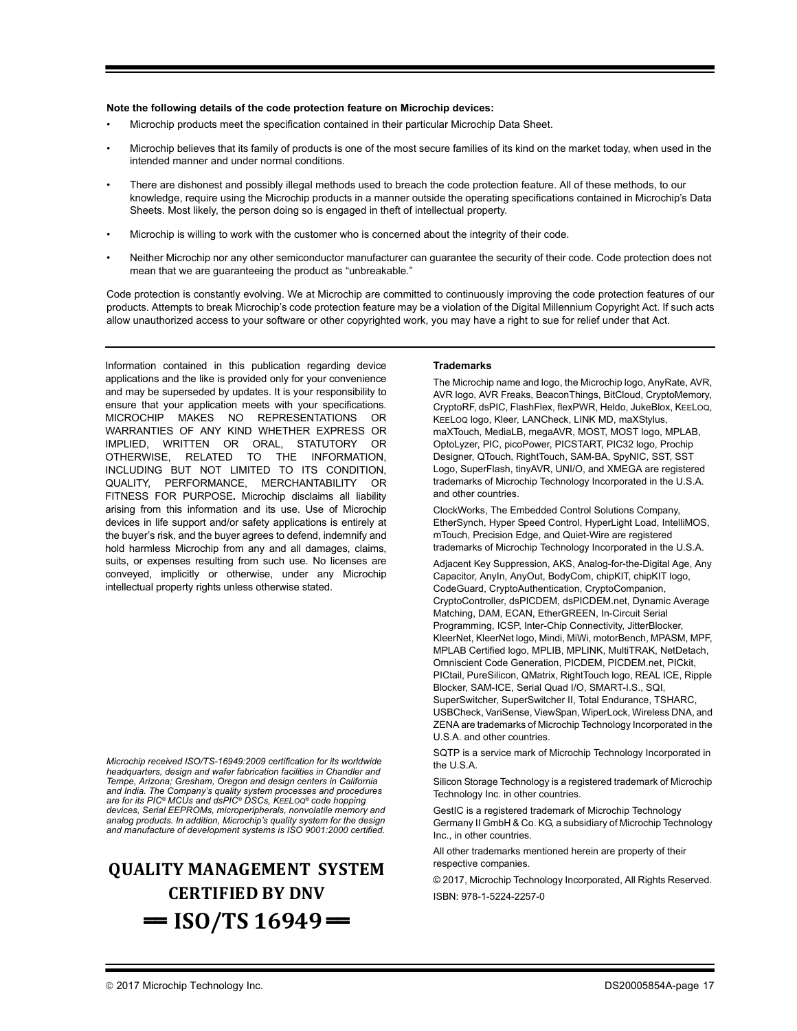#### **Note the following details of the code protection feature on Microchip devices:**

- Microchip products meet the specification contained in their particular Microchip Data Sheet.
- Microchip believes that its family of products is one of the most secure families of its kind on the market today, when used in the intended manner and under normal conditions.
- There are dishonest and possibly illegal methods used to breach the code protection feature. All of these methods, to our knowledge, require using the Microchip products in a manner outside the operating specifications contained in Microchip's Data Sheets. Most likely, the person doing so is engaged in theft of intellectual property.
- Microchip is willing to work with the customer who is concerned about the integrity of their code.
- Neither Microchip nor any other semiconductor manufacturer can guarantee the security of their code. Code protection does not mean that we are guaranteeing the product as "unbreakable."

Code protection is constantly evolving. We at Microchip are committed to continuously improving the code protection features of our products. Attempts to break Microchip's code protection feature may be a violation of the Digital Millennium Copyright Act. If such acts allow unauthorized access to your software or other copyrighted work, you may have a right to sue for relief under that Act.

Information contained in this publication regarding device applications and the like is provided only for your convenience and may be superseded by updates. It is your responsibility to ensure that your application meets with your specifications. MICROCHIP MAKES NO REPRESENTATIONS OR WARRANTIES OF ANY KIND WHETHER EXPRESS OR IMPLIED, WRITTEN OR ORAL, STATUTORY OR OTHERWISE, RELATED TO THE INFORMATION, INCLUDING BUT NOT LIMITED TO ITS CONDITION, QUALITY, PERFORMANCE, MERCHANTABILITY OR FITNESS FOR PURPOSE**.** Microchip disclaims all liability arising from this information and its use. Use of Microchip devices in life support and/or safety applications is entirely at the buyer's risk, and the buyer agrees to defend, indemnify and hold harmless Microchip from any and all damages, claims, suits, or expenses resulting from such use. No licenses are conveyed, implicitly or otherwise, under any Microchip intellectual property rights unless otherwise stated.

*Microchip received ISO/TS-16949:2009 certification for its worldwide headquarters, design and wafer fabrication facilities in Chandler and Tempe, Arizona; Gresham, Oregon and design centers in California and India. The Company's quality system processes and procedures are for its PIC® MCUs and dsPIC® DSCs, KEELOQ® code hopping devices, Serial EEPROMs, microperipherals, nonvolatile memory and analog products. In addition, Microchip's quality system for the design and manufacture of development systems is ISO 9001:2000 certified.*

# **QUALITY MANAGEMENT SYSTEM CERTIFIED BY DNV**  $=$  **ISO/TS** 16949 $=$

#### **Trademarks**

The Microchip name and logo, the Microchip logo, AnyRate, AVR, AVR logo, AVR Freaks, BeaconThings, BitCloud, CryptoMemory, CryptoRF, dsPIC, FlashFlex, flexPWR, Heldo, JukeBlox, KEELOQ, KEELOQ logo, Kleer, LANCheck, LINK MD, maXStylus, maXTouch, MediaLB, megaAVR, MOST, MOST logo, MPLAB, OptoLyzer, PIC, picoPower, PICSTART, PIC32 logo, Prochip Designer, QTouch, RightTouch, SAM-BA, SpyNIC, SST, SST Logo, SuperFlash, tinyAVR, UNI/O, and XMEGA are registered trademarks of Microchip Technology Incorporated in the U.S.A. and other countries.

ClockWorks, The Embedded Control Solutions Company, EtherSynch, Hyper Speed Control, HyperLight Load, IntelliMOS, mTouch, Precision Edge, and Quiet-Wire are registered trademarks of Microchip Technology Incorporated in the U.S.A.

Adjacent Key Suppression, AKS, Analog-for-the-Digital Age, Any Capacitor, AnyIn, AnyOut, BodyCom, chipKIT, chipKIT logo, CodeGuard, CryptoAuthentication, CryptoCompanion, CryptoController, dsPICDEM, dsPICDEM.net, Dynamic Average Matching, DAM, ECAN, EtherGREEN, In-Circuit Serial Programming, ICSP, Inter-Chip Connectivity, JitterBlocker, KleerNet, KleerNet logo, Mindi, MiWi, motorBench, MPASM, MPF, MPLAB Certified logo, MPLIB, MPLINK, MultiTRAK, NetDetach, Omniscient Code Generation, PICDEM, PICDEM.net, PICkit, PICtail, PureSilicon, QMatrix, RightTouch logo, REAL ICE, Ripple Blocker, SAM-ICE, Serial Quad I/O, SMART-I.S., SQI, SuperSwitcher, SuperSwitcher II, Total Endurance, TSHARC, USBCheck, VariSense, ViewSpan, WiperLock, Wireless DNA, and ZENA are trademarks of Microchip Technology Incorporated in the U.S.A. and other countries.

SQTP is a service mark of Microchip Technology Incorporated in the U.S.A.

Silicon Storage Technology is a registered trademark of Microchip Technology Inc. in other countries.

GestIC is a registered trademark of Microchip Technology Germany II GmbH & Co. KG, a subsidiary of Microchip Technology Inc., in other countries.

All other trademarks mentioned herein are property of their respective companies.

© 2017, Microchip Technology Incorporated, All Rights Reserved. ISBN: 978-1-5224-2257-0